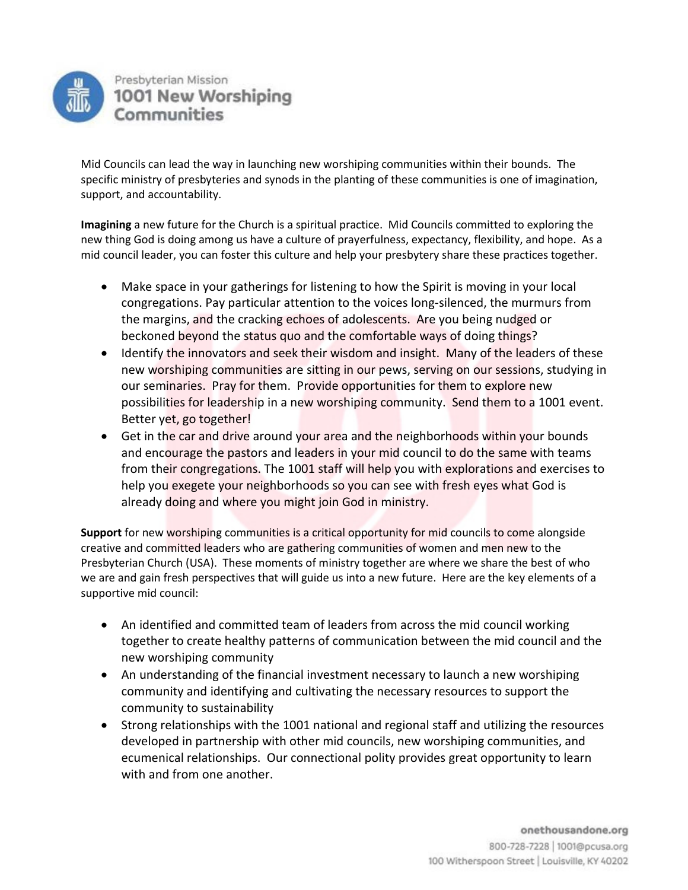

Mid Councils can lead the way in launching new worshiping communities within their bounds. The specific ministry of presbyteries and synods in the planting of these communities is one of imagination, support, and accountability.

**Imagining** a new future for the Church is a spiritual practice. Mid Councils committed to exploring the new thing God is doing among us have a culture of prayerfulness, expectancy, flexibility, and hope. As a mid council leader, you can foster this culture and help your presbytery share these practices together.

- Make space in your gatherings for listening to how the Spirit is moving in your local congregations. Pay particular attention to the voices long-silenced, the murmurs from the margins, and the cracking echoes of adolescents. Are you being nudged or beckoned beyond the status quo and the comfortable ways of doing things?
- Identify the innovators and seek their wisdom and insight. Many of the leaders of these new worshiping communities are sitting in our pews, serving on our sessions, studying in our seminaries. Pray for them. Provide opportunities for them to explore new possibilities for leadership in a new worshiping community. Send them to a 1001 event. Better yet, go together!
- Get in the car and drive around your area and the neighborhoods within your bounds and encourage the pastors and leaders in your mid council to do the same with teams from their congregations. The 1001 staff will help you with explorations and exercises to help you exegete your neighborhoods so you can see with fresh eyes what God is already doing and where you might join God in ministry.

**Support** for new worshiping communities is a critical opportunity for mid councils to come alongside creative and committed leaders who are gathering communities of women and men new to the Presbyterian Church (USA). These moments of ministry together are where we share the best of who we are and gain fresh perspectives that will guide us into a new future. Here are the key elements of a supportive mid council:

- An identified and committed team of leaders from across the mid council working together to create healthy patterns of communication between the mid council and the new worshiping community
- An understanding of the financial investment necessary to launch a new worshiping community and identifying and cultivating the necessary resources to support the community to sustainability
- Strong relationships with the 1001 national and regional staff and utilizing the resources developed in partnership with other mid councils, new worshiping communities, and ecumenical relationships. Our connectional polity provides great opportunity to learn with and from one another.